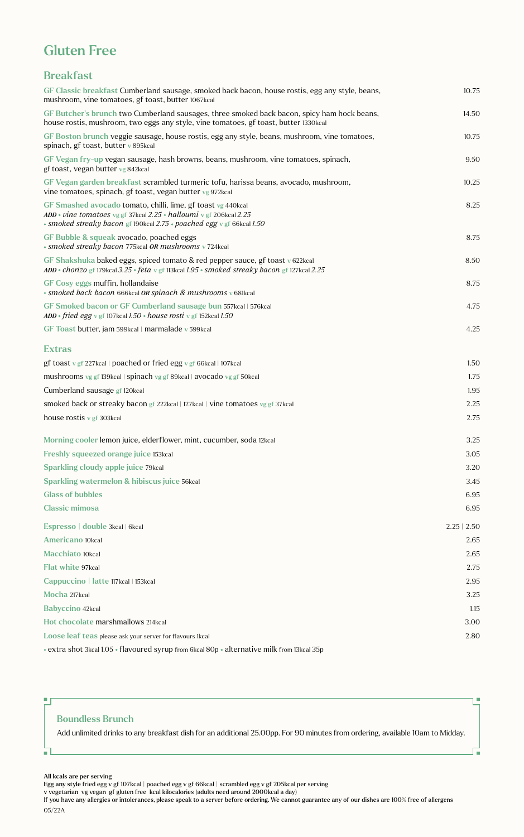# Gluten Free

## Breakfast

| GF Classic breakfast Cumberland sausage, smoked back bacon, house rostis, egg any style, beans,<br>mushroom, vine tomatoes, gf toast, butter 1067kcal                                                           | 10.75            |
|-----------------------------------------------------------------------------------------------------------------------------------------------------------------------------------------------------------------|------------------|
| GF Butcher's brunch two Cumberland sausages, three smoked back bacon, spicy ham hock beans,<br>house rostis, mushroom, two eggs any style, vine tomatoes, gf toast, butter 1330kcal                             | 14.50            |
| GF Boston brunch veggie sausage, house rostis, egg any style, beans, mushroom, vine tomatoes,<br>spinach, gf toast, butter v 895kcal                                                                            | 10.75            |
| GF Vegan fry-up vegan sausage, hash browns, beans, mushroom, vine tomatoes, spinach,<br>gf toast, vegan butter vg 842kcal                                                                                       | 9.50             |
| GF Vegan garden breakfast scrambled turmeric tofu, harissa beans, avocado, mushroom,<br>vine tomatoes, spinach, gf toast, vegan butter vg 972kcal                                                               | 10.25            |
| GF Smashed avocado tomato, chilli, lime, gf toast vg 440kcal<br>ADD • vine tomatoes vg gf 37kcal $2.25$ • halloumi v gf 206kcal $2.25$<br>• smoked streaky bacon gf 190kcal 2.75 • poached egg v gf 66kcal 1.50 | 8.25             |
| GF Bubble & squeak avocado, poached eggs<br>· smoked streaky bacon 775kcal OR mushrooms v 724kcal                                                                                                               | 8.75             |
| GF Shakshuka baked eggs, spiced tomato & red pepper sauce, gf toast $\sqrt{622}$ kcal<br>$ADD * chorizo$ gf 179kcal $3.25 * feta$ v gf 113kcal $1.95 * smoked$ streaky bacon gf 127kcal $2.25$                  | 8.50             |
| GF Cosy eggs muffin, hollandaise<br>· smoked back bacon 666kcal OR spinach & mushrooms v 681kcal                                                                                                                | 8.75             |
| GF Smoked bacon or GF Cumberland sausage bun 557kcal   576kcal<br>ADD • fried egg v gf 107kcal $1.50$ • house rosti v gf 152kcal $1.50$                                                                         | 4.75             |
| GF Toast butter, jam 599kcal   marmalade v 599kcal                                                                                                                                                              | 4.25             |
| <b>Extras</b>                                                                                                                                                                                                   |                  |
| gf toast v gf 227kcal   poached or fried egg v gf 66kcal   107kcal                                                                                                                                              | 1.50             |
| mushrooms vg gf 139kcal   spinach vg gf 89kcal   avocado vg gf 50kcal                                                                                                                                           | 1.75             |
| Cumberland sausage gf 120kcal                                                                                                                                                                                   | 1.95             |
| smoked back or streaky bacon gf 222kcal   127kcal   vine tomatoes vg gf 37kcal                                                                                                                                  | 2.25             |
| house rostis $v$ gf 303 kcal                                                                                                                                                                                    | 2.75             |
| Morning cooler lemon juice, elderflower, mint, cucumber, soda 12kcal                                                                                                                                            | 3.25             |
| Freshly squeezed orange juice 153kcal                                                                                                                                                                           | 3.05             |
| <b>Sparkling cloudy apple juice 79kcal</b>                                                                                                                                                                      | 3.20             |
| Sparkling watermelon & hibiscus juice 56kcal                                                                                                                                                                    | 3.45             |
| <b>Glass of bubbles</b>                                                                                                                                                                                         | 6.95             |
| <b>Classic mimosa</b>                                                                                                                                                                                           | 6.95             |
| Espresso   double 3kcal   6kcal                                                                                                                                                                                 | $2.25 \mid 2.50$ |
| Americano 10kcal                                                                                                                                                                                                | 2.65             |
| Macchiato 10kcal                                                                                                                                                                                                | 2.65             |
| Flat white 97kcal                                                                                                                                                                                               | 2.75             |
| Cappuccino   latte 117kcal   153kcal                                                                                                                                                                            | 2.95             |
| Mocha 217kcal                                                                                                                                                                                                   | 3.25             |
| <b>Babyccino 42kcal</b>                                                                                                                                                                                         | 1.15             |
| Hot chocolate marshmallows 214kcal                                                                                                                                                                              | 3.00             |
| Loose leaf teas please ask your server for flavours 1kcal                                                                                                                                                       | 2.80             |
| * extra shot 3kcal 1.05 * flavoured syrup from 6kcal 80p * alternative milk from 13kcal 35p                                                                                                                     |                  |

### Boundless Brunch

Add unlimited drinks to any breakfast dish for an additional 25.00pp. For 90 minutes from ordering, available 10am to Midday.

I.

ц,

#### All kcals are per serving

 $\blacksquare$ 

 $\blacksquare$ 

Egg any style fried egg v gf 107kcal | poached egg v gf 66kcal | scrambled egg v gf 205kcal per serving

v vegetarian vg vegan gf gluten free kcal kilocalories (adults need around 2000kcal a day)

If you have any allergies or intolerances, please speak to a server before ordering. We cannot guarantee any of our dishes are 100% free of allergens 05/22A